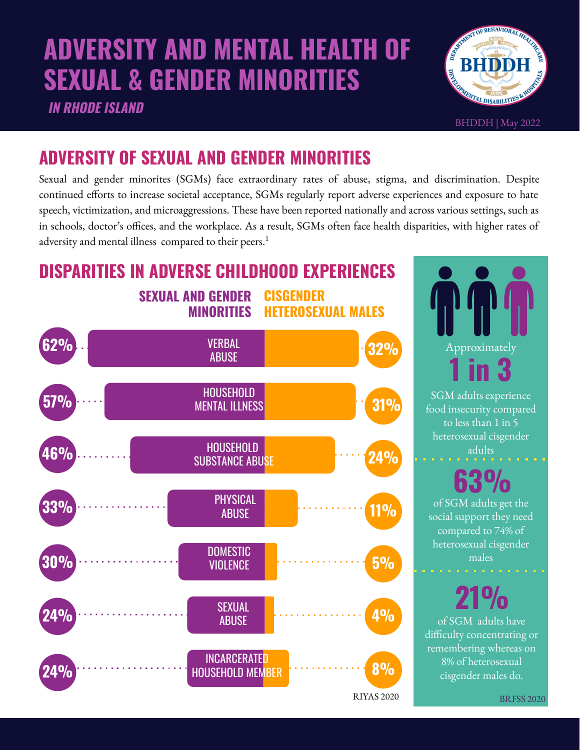# **ADVERSITY AND MENTAL HEALTH OF SEXUAL & GENDER MINORITIES**

**IN RHODE ISLAND**



BHDDH | May 2022

## **ADVERSITY OF SEXUAL AND GENDER MINORITIES**

Sexual and gender minorites (SGMs) face extraordinary rates of abuse, stigma, and discrimination. Despite continued efforts to increase societal acceptance, SGMs regularly report adverse experiences and exposure to hate speech, victimization, and microaggressions. These have been reported nationally and across various settings, such as in schools, doctor's offices, and the workplace. As a result, SGMs often face health disparities, with higher rates of adversity and mental illness compared to their peers.<sup>1</sup>

**SEXUAL AND GENDER MINORITIES CISGENDER HETEROSEXUAL MALES DISPARITIES IN ADVERSE CHILDHOOD EXPERIENCES**



Approximately **1 in 3** 

SGM adults experience food insecurity compared to less than 1 in 5 heterosexual cisgender adults

**63%**

of SGM adults get the social support they need compared to 74% of heterosexual cisgender males

of SGM adults have difficulty concentrating or remembering whereas on 8% of heterosexual cisgender males do. **21%**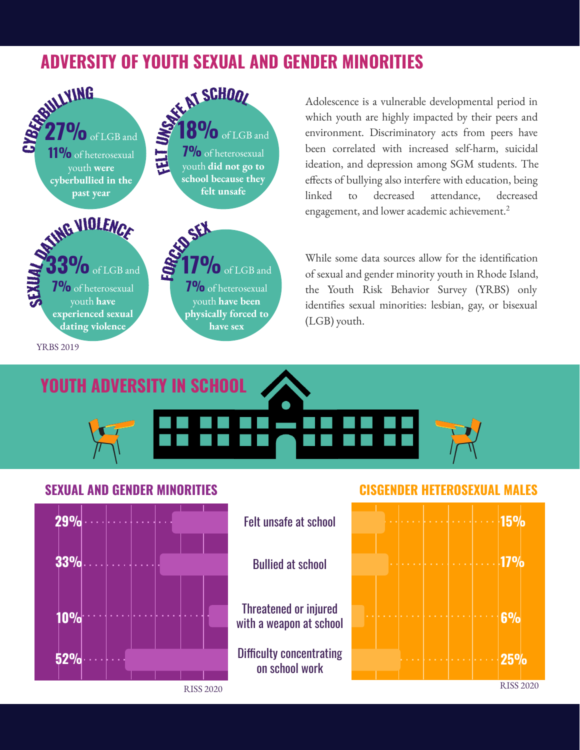## **ADVERSITY OF YOUTH SEXUAL AND GENDER MINORITIES**



Adolescence is a vulnerable developmental period in which youth are highly impacted by their peers and environment. Discriminatory acts from peers have been correlated with increased self-harm, suicidal ideation, and depression among SGM students. The effects of bullying also interfere with education, being linked to decreased attendance, decreased engagement, and lower academic achievement.<sup>2</sup>

While some data sources allow for the identification of sexual and gender minority youth in Rhode Island, the Youth Risk Behavior Survey (YRBS) only identifies sexual minorities: lesbian, gay, or bisexual (LGB) youth.



**YOUTH ADVERSITY IN SCHOOL**

Felt unsafe at school

Bullied at school

Threatened or injured

on school work



#### **SEXUAL AND GENDER MINORITIES CISGENDER HETEROSEXUAL MALES**

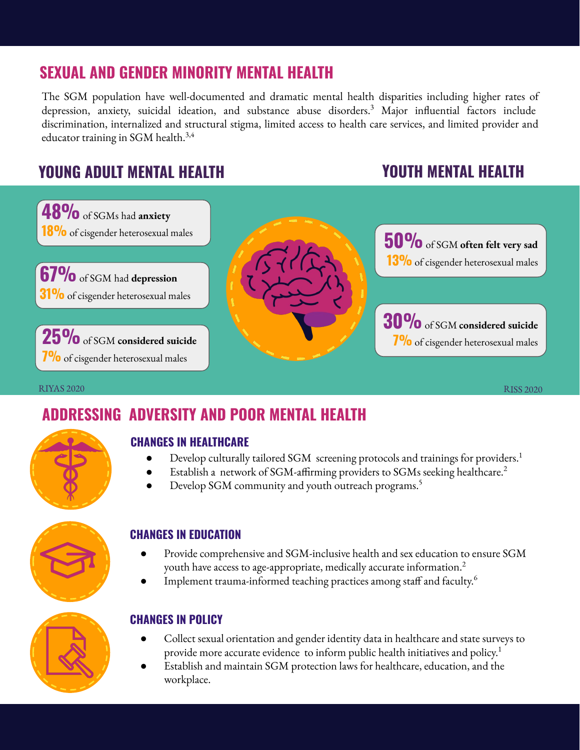## **SEXUAL AND GENDER MINORITY MENTAL HEALTH**

The SGM population have well-documented and dramatic mental health disparities including higher rates of depression, anxiety, suicidal ideation, and substance abuse disorders.<sup>3</sup> Major influential factors include discrimination, internalized and structural stigma, limited access to health care services, and limited provider and educator training in SGM health. $3,4$ 

## **YOUNG ADULT MENTAL HEALTH YOUTH MENTAL HEALTH**



RIYAS 2020 RISS 2020

## **ADDRESSING ADVERSITY AND POOR MENTAL HEALTH**



### **CHANGES IN HEALTHCARE**

- Develop culturally tailored SGM screening protocols and trainings for providers.<sup>1</sup>
- Establish a network of SGM-affirming providers to SGMs seeking healthcare.<sup>2</sup>
- Develop SGM community and youth outreach programs.<sup>5</sup>



### **CHANGES IN EDUCATION**

- Provide comprehensive and SGM-inclusive health and sex education to ensure SGM youth have access to age-appropriate, medically accurate information. $^2$
- Implement trauma-informed teaching practices among staff and faculty.<sup>6</sup>



### **CHANGES IN POLICY**

- Collect sexual orientation and gender identity data in healthcare and state surveys to provide more accurate evidence to inform public health initiatives and policy.<sup>1</sup>
- Establish and maintain SGM protection laws for healthcare, education, and the workplace.